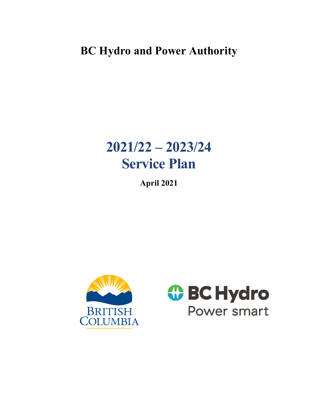# **BC Hydro and Power Authority**

# **2021/22 – 2023/24 Service Plan**

**April 2021** 



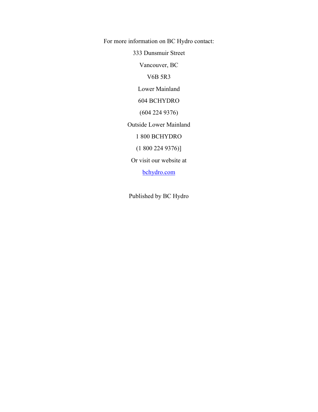For more information on BC Hydro contact:

333 Dunsmuir Street

Vancouver, BC

V6B 5R3

Lower Mainland

604 BCHYDRO

(604 224 9376)

Outside Lower Mainland

1 800 BCHYDRO

(1 800 224 9376)]

Or visit our website at

[bchydro.com](https://www.bchydro.com/index.html)

Published by BC Hydro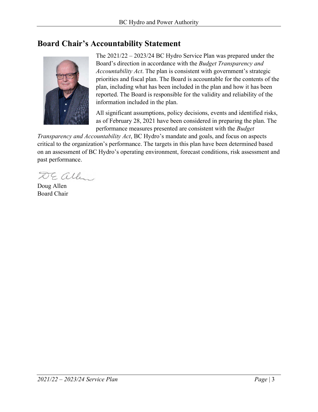# <span id="page-2-0"></span>**Board Chair's Accountability Statement**



The 2021/22 – 2023/24 BC Hydro Service Plan was prepared under the Board's direction in accordance with the *Budget Transparency and Accountability Act*. The plan is consistent with government's strategic priorities and fiscal plan. The Board is accountable for the contents of the plan, including what has been included in the plan and how it has been reported. The Board is responsible for the validity and reliability of the information included in the plan.

All significant assumptions, policy decisions, events and identified risks, as of February 28, 2021 have been considered in preparing the plan. The performance measures presented are consistent with the *Budget* 

*Transparency and Accountability Act*, BC Hydro's mandate and goals, and focus on aspects critical to the organization's performance. The targets in this plan have been determined based on an assessment of BC Hydro's operating environment, forecast conditions, risk assessment and past performance.

DE alle

Doug Allen Board Chair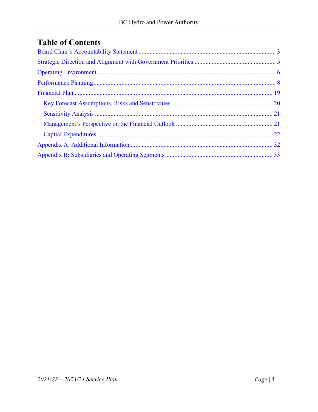# **Table of Contents**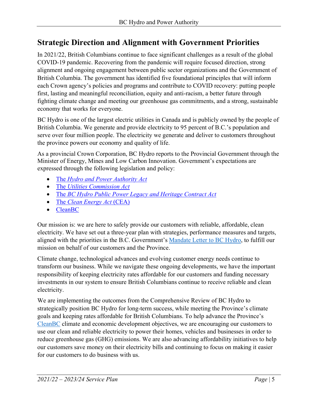# <span id="page-4-0"></span>**Strategic Direction and Alignment with Government Priorities**

In 2021/22, British Columbians continue to face significant challenges as a result of the global COVID-19 pandemic. Recovering from the pandemic will require focused direction, strong alignment and ongoing engagement between public sector organizations and the Government of British Columbia. The government has identified five foundational principles that will inform each Crown agency's policies and programs and contribute to COVID recovery: putting people first, lasting and meaningful reconciliation, equity and anti-racism, a better future through fighting climate change and meeting our greenhouse gas commitments, and a strong, sustainable economy that works for everyone.

BC Hydro is one of the largest electric utilities in Canada and is publicly owned by the people of British Columbia. We generate and provide electricity to 95 percent of B.C.'s population and serve over four million people. The electricity we generate and deliver to customers throughout the province powers our economy and quality of life.

As a provincial Crown Corporation, BC Hydro reports to the Provincial Government through the Minister of Energy, Mines and Low Carbon Innovation. Government's expectations are expressed through the following legislation and policy:

- The *[Hydro and Power Authority Act](http://www.bclaws.ca/civix/document/id/complete/statreg/96212_01)*
- The *[Utilities Commission Act](http://www.bclaws.ca/Recon/document/ID/freeside/00_96473_01)*
- The *BC [Hydro Public Power Legacy and Heritage Contract Act](http://www.bclaws.ca/civix/document/id/complete/statreg/03086_01)*
- The *[Clean Energy Act](http://www.bclaws.ca/civix/document/id/consol24/consol24/00_10022_01)* (CEA)
- [CleanBC](https://blog.gov.bc.ca/app/uploads/sites/436/2019/02/CleanBC_Full_Report_Updated_Mar2019.pdf)

Our mission is: we are here to safely provide our customers with reliable, affordable, clean electricity. We have set out a three-year plan with strategies, performance measures and targets, aligned with the priorities in the B.C. Government's [Mandate Letter to BC Hydro,](https://www2.gov.bc.ca/gov/content/governments/organizational-structure/ministries-organizations/crown-corporations/bc-hydro-and-power-authority) to fulfill our mission on behalf of our customers and the Province.

Climate change, technological advances and evolving customer energy needs continue to transform our business. While we navigate these ongoing developments, we have the important responsibility of keeping electricity rates affordable for our customers and funding necessary investments in our system to ensure British Columbians continue to receive reliable and clean electricity.

We are implementing the outcomes from the Comprehensive Review of BC Hydro to strategically position BC Hydro for long-term success, while meeting the Province's climate goals and keeping rates affordable for British Columbians. To help advance the Province's [CleanBC](https://cleanbc.gov.bc.ca/) climate and economic development objectives, we are encouraging our customers to use our clean and reliable electricity to power their homes, vehicles and businesses in order to reduce greenhouse gas (GHG) emissions. We are also advancing affordability initiatives to help our customers save money on their electricity bills and continuing to focus on making it easier for our customers to do business with us.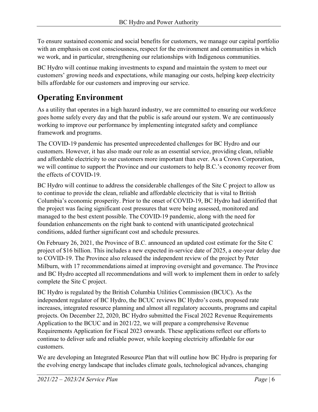To ensure sustained economic and social benefits for customers, we manage our capital portfolio with an emphasis on cost consciousness, respect for the environment and communities in which we work, and in particular, strengthening our relationships with Indigenous communities.

BC Hydro will continue making investments to expand and maintain the system to meet our customers' growing needs and expectations, while managing our costs, helping keep electricity bills affordable for our customers and improving our service.

# <span id="page-5-0"></span>**Operating Environment**

As a utility that operates in a high hazard industry, we are committed to ensuring our workforce goes home safely every day and that the public is safe around our system. We are continuously working to improve our performance by implementing integrated safety and compliance framework and programs.

The COVID-19 pandemic has presented unprecedented challenges for BC Hydro and our customers. However, it has also made our role as an essential service, providing clean, reliable and affordable electricity to our customers more important than ever. As a Crown Corporation, we will continue to support the Province and our customers to help B.C.'s economy recover from the effects of COVID-19.

BC Hydro will continue to address the considerable challenges of the Site C project to allow us to continue to provide the clean, reliable and affordable electricity that is vital to British Columbia's economic prosperity. Prior to the onset of COVID-19, BC Hydro had identified that the project was facing significant cost pressures that were being assessed, monitored and managed to the best extent possible. The COVID-19 pandemic, along with the need for foundation enhancements on the right bank to contend with unanticipated geotechnical conditions, added further significant cost and schedule pressures.

On February 26, 2021, the Province of B.C. announced an updated cost estimate for the Site C project of \$16 billion. This includes a new expected in-service date of 2025, a one-year delay due to COVID-19. The Province also released the independent review of the project by Peter Milburn, with 17 recommendations aimed at improving oversight and governance. The Province and BC Hydro accepted all recommendations and will work to implement them in order to safely complete the Site C project.

BC Hydro is regulated by the British Columbia Utilities Commission (BCUC). As the independent regulator of BC Hydro, the BCUC reviews BC Hydro's costs, proposed rate increases, integrated resource planning and almost all regulatory accounts, programs and capital projects. On December 22, 2020, BC Hydro submitted the Fiscal 2022 Revenue Requirements Application to the BCUC and in 2021/22, we will prepare a comprehensive Revenue Requirements Application for Fiscal 2023 onwards. These applications reflect our efforts to continue to deliver safe and reliable power, while keeping electricity affordable for our customers.

We are developing an Integrated Resource Plan that will outline how BC Hydro is preparing for the evolving energy landscape that includes climate goals, technological advances, changing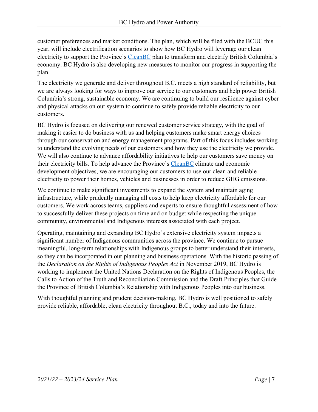customer preferences and market conditions. The plan, which will be filed with the BCUC this year, will include electrification scenarios to show how BC Hydro will leverage our clean electricity to support the Province's [CleanBC](https://cleanbc.gov.bc.ca/) plan to transform and electrify British Columbia's economy. BC Hydro is also developing new measures to monitor our progress in supporting the plan.

The electricity we generate and deliver throughout B.C. meets a high standard of reliability, but we are always looking for ways to improve our service to our customers and help power British Columbia's strong, sustainable economy. We are continuing to build our resilience against cyber and physical attacks on our system to continue to safely provide reliable electricity to our customers.

BC Hydro is focused on delivering our renewed customer service strategy, with the goal of making it easier to do business with us and helping customers make smart energy choices through our conservation and energy management programs. Part of this focus includes working to understand the evolving needs of our customers and how they use the electricity we provide. We will also continue to advance affordability initiatives to help our customers save money on their electricity bills. To help advance the Province's [CleanBC](https://cleanbc.gov.bc.ca/) climate and economic development objectives, we are encouraging our customers to use our clean and reliable electricity to power their homes, vehicles and businesses in order to reduce GHG emissions.

We continue to make significant investments to expand the system and maintain aging infrastructure, while prudently managing all costs to help keep electricity affordable for our customers. We work across teams, suppliers and experts to ensure thoughtful assessment of how to successfully deliver these projects on time and on budget while respecting the unique community, environmental and Indigenous interests associated with each project.

Operating, maintaining and expanding BC Hydro's extensive electricity system impacts a significant number of Indigenous communities across the province. We continue to pursue meaningful, long-term relationships with Indigenous groups to better understand their interests, so they can be incorporated in our planning and business operations. With the historic passing of the *Declaration on the Rights of Indigenous Peoples Act* in November 2019, BC Hydro is working to implement the United Nations Declaration on the Rights of Indigenous Peoples, the Calls to Action of the Truth and Reconciliation Commission and the Draft Principles that Guide the Province of British Columbia's Relationship with Indigenous Peoples into our business.

With thoughtful planning and prudent decision-making, BC Hydro is well positioned to safely provide reliable, affordable, clean electricity throughout B.C., today and into the future.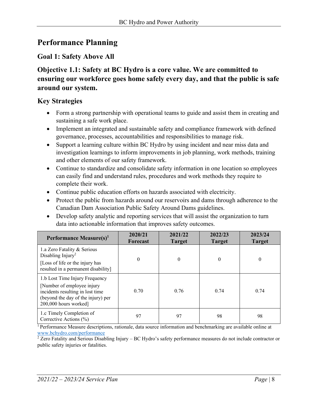# <span id="page-7-0"></span>**Performance Planning**

# **Goal 1: Safety Above All**

#### **Objective 1.1: Safety at BC Hydro is a core value. We are committed to ensuring our workforce goes home safely every day, and that the public is safe around our system.**

#### **Key Strategies**

- Form a strong partnership with operational teams to guide and assist them in creating and sustaining a safe work place.
- Implement an integrated and sustainable safety and compliance framework with defined governance, processes, accountabilities and responsibilities to manage risk.
- Support a learning culture within BC Hydro by using incident and near miss data and investigation learnings to inform improvements in job planning, work methods, training and other elements of our safety framework.
- Continue to standardize and consolidate safety information in one location so employees can easily find and understand rules, procedures and work methods they require to complete their work.
- Continue public education efforts on hazards associated with electricity.
- Protect the public from hazards around our reservoirs and dams through adherence to the Canadian Dam Association Public Safety Around Dams guidelines.
- Develop safety analytic and reporting services that will assist the organization to turn data into actionable information that improves safety outcomes.

| Performance Measure(s) <sup>1</sup>                                                                                                                              | 2020/21<br>Forecast | 2021/22<br><b>Target</b> | 2022/23<br><b>Target</b> | 2023/24<br><b>Target</b> |
|------------------------------------------------------------------------------------------------------------------------------------------------------------------|---------------------|--------------------------|--------------------------|--------------------------|
| 1.a Zero Fatality & Serious<br>Disabling Injury <sup>2</sup><br>[Loss of life or the injury has<br>resulted in a permanent disability]                           | $\Omega$            | $\theta$                 | $\Omega$                 | 0                        |
| 1.b Lost Time Injury Frequency<br>[Number of employee injury]<br>incidents resulting in lost time<br>(beyond the day of the injury) per<br>200,000 hours worked] | 0.70                | 0.76                     | 0.74                     | 0.74                     |
| 1.c Timely Completion of<br>Corrective Actions (%)                                                                                                               | 97                  | 97                       | 98                       | 98                       |

<sup>1</sup> Performance Measure descriptions, rationale, data source information and benchmarking are available online at

www.bchydro.com/performance<br><sup>2</sup> Zero Fatality and Serious Disabling Injury – BC Hydro's safety performance measures do not include contractor or public safety injuries or fatalities.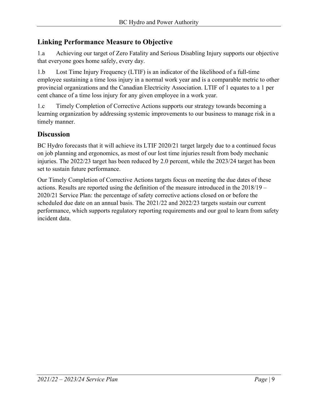#### **Linking Performance Measure to Objective**

1.a Achieving our target of Zero Fatality and Serious Disabling Injury supports our objective that everyone goes home safely, every day.

1.b Lost Time Injury Frequency (LTIF) is an indicator of the likelihood of a full-time employee sustaining a time loss injury in a normal work year and is a comparable metric to other provincial organizations and the Canadian Electricity Association. LTIF of 1 equates to a 1 per cent chance of a time loss injury for any given employee in a work year.

1.c Timely Completion of Corrective Actions supports our strategy towards becoming a learning organization by addressing systemic improvements to our business to manage risk in a timely manner.

#### **Discussion**

BC Hydro forecasts that it will achieve its LTIF 2020/21 target largely due to a continued focus on job planning and ergonomics, as most of our lost time injuries result from body mechanic injuries. The 2022/23 target has been reduced by 2.0 percent, while the 2023/24 target has been set to sustain future performance.

Our Timely Completion of Corrective Actions targets focus on meeting the due dates of these actions. Results are reported using the definition of the measure introduced in the 2018/19 – 2020/21 Service Plan: the percentage of safety corrective actions closed on or before the scheduled due date on an annual basis. The 2021/22 and 2022/23 targets sustain our current performance, which supports regulatory reporting requirements and our goal to learn from safety incident data.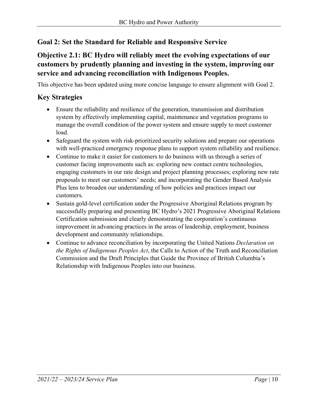#### **Goal 2: Set the Standard for Reliable and Responsive Service**

# **Objective 2.1: BC Hydro will reliably meet the evolving expectations of our customers by prudently planning and investing in the system, improving our service and advancing reconciliation with Indigenous Peoples.**

This objective has been updated using more concise language to ensure alignment with Goal 2.

#### **Key Strategies**

- Ensure the reliability and resilience of the generation, transmission and distribution system by effectively implementing capital, maintenance and vegetation programs to manage the overall condition of the power system and ensure supply to meet customer load.
- Safeguard the system with risk-prioritized security solutions and prepare our operations with well-practiced emergency response plans to support system reliability and resilience.
- Continue to make it easier for customers to do business with us through a series of customer facing improvements such as: exploring new contact centre technologies, engaging customers in our rate design and project planning processes; exploring new rate proposals to meet our customers' needs; and incorporating the Gender Based Analysis Plus lens to broaden our understanding of how policies and practices impact our customers.
- Sustain gold-level certification under the Progressive Aboriginal Relations program by successfully preparing and presenting BC Hydro's 2021 Progressive Aboriginal Relations Certification submission and clearly demonstrating the corporation's continuous improvement in advancing practices in the areas of leadership, employment, business development and community relationships.
- Continue to advance reconciliation by incorporating the United Nations *Declaration on the Rights of Indigenous Peoples Act*, the Calls to Action of the Truth and Reconciliation Commission and the Draft Principles that Guide the Province of British Columbia's Relationship with Indigenous Peoples into our business.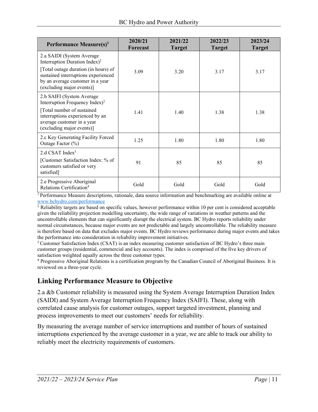| Performance Measure(s) <sup>1</sup>                                                                                                                                                                 | 2020/21<br>Forecast | 2021/22<br><b>Target</b> | 2022/23<br><b>Target</b> | 2023/24<br><b>Target</b> |
|-----------------------------------------------------------------------------------------------------------------------------------------------------------------------------------------------------|---------------------|--------------------------|--------------------------|--------------------------|
| 2.a SAIDI (System Average)<br>Interruption Duration Index) <sup>2</sup>                                                                                                                             |                     |                          |                          |                          |
| [Total outage duration (in hours) of<br>sustained interruptions experienced<br>by an average customer in a year<br>(excluding major events)]                                                        | 3.09                | 3.20                     | 3.17                     | 3.17                     |
| 2.b SAIFI (System Average<br>Interruption Frequency Index) <sup>2</sup><br>[Total number of sustained<br>interruptions experienced by an<br>average customer in a year<br>(excluding major events)] | 1.41                | 1.40                     | 1.38                     | 1.38                     |
| 2.c Key Generating Facility Forced<br>Outage Factor (%)                                                                                                                                             | 1.25                | 1.80                     | 1.80                     | 1.80                     |
| 2.d CSAT Index <sup>3</sup><br>[Customer Satisfaction Index: % of<br>customers satisfied or very<br>satisfied]                                                                                      | 91                  | 85                       | 85                       | 85                       |
| 2.e Progressive Aboriginal<br>Relations Certification <sup>4</sup>                                                                                                                                  | Gold                | Gold                     | Gold                     | Gold                     |

<sup>1</sup> Performance Measure descriptions, rationale, data source information and benchmarking are available online at www.bchydro.com/performance<br><sup>2</sup> Reliability targets are based on specific values, however performance within 10 per cent is considered acceptable

given the reliability projection modelling uncertainty, the wide range of variations in weather patterns and the uncontrollable elements that can significantly disrupt the electrical system. BC Hydro reports reliability under normal circumstances, because major events are not predictable and largely uncontrollable. The reliability measure is therefore based on data that excludes major events. BC Hydro reviews performance during major events and takes the performance into consideration in reliability improvement initiatives.

<sup>3</sup> Customer Satisfaction Index (CSAT) is an index measuring customer satisfaction of BC Hydro's three main customer groups (residential, commercial and key accounts). The index is comprised of the five key drivers of satisfaction weighted equally across the three customer types.<br><sup>4</sup> Progressive Aboriginal Relations is a certification program by the Canadian Council of Aboriginal Business. It is

reviewed on a three-year cycle.

#### **Linking Performance Measure to Objective**

2.a &b Customer reliability is measured using the System Average Interruption Duration Index (SAIDI) and System Average Interruption Frequency Index (SAIFI). These, along with correlated cause analysis for customer outages, support targeted investment, planning and process improvements to meet our customers' needs for reliability.

By measuring the average number of service interruptions and number of hours of sustained interruptions experienced by the average customer in a year, we are able to track our ability to reliably meet the electricity requirements of customers.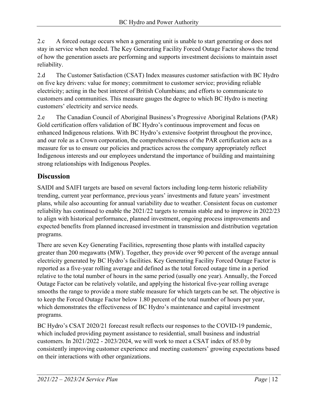2.c A forced outage occurs when a generating unit is unable to start generating or does not stay in service when needed. The Key Generating Facility Forced Outage Factor shows the trend of how the generation assets are performing and supports investment decisions to maintain asset reliability.

2.d The Customer Satisfaction (CSAT) Index measures customer satisfaction with BC Hydro on five key drivers: value for money; commitment to customer service; providing reliable electricity; acting in the best interest of British Columbians; and efforts to communicate to customers and communities. This measure gauges the degree to which BC Hydro is meeting customers' electricity and service needs.

2.e The Canadian Council of Aboriginal Business's Progressive Aboriginal Relations (PAR) Gold certification offers validation of BC Hydro's continuous improvement and focus on enhanced Indigenous relations. With BC Hydro's extensive footprint throughout the province, and our role as a Crown corporation, the comprehensiveness of the PAR certification acts as a measure for us to ensure our policies and practices across the company appropriately reflect Indigenous interests and our employees understand the importance of building and maintaining strong relationships with Indigenous Peoples.

# **Discussion**

SAIDI and SAIFI targets are based on several factors including long-term historic reliability trending, current year performance, previous years' investments and future years' investment plans, while also accounting for annual variability due to weather. Consistent focus on customer reliability has continued to enable the 2021/22 targets to remain stable and to improve in 2022/23 to align with historical performance, planned investment, ongoing process improvements and expected benefits from planned increased investment in transmission and distribution vegetation programs.

There are seven Key Generating Facilities, representing those plants with installed capacity greater than 200 megawatts (MW). Together, they provide over 90 percent of the average annual electricity generated by BC Hydro's facilities. Key Generating Facility Forced Outage Factor is reported as a five-year rolling average and defined as the total forced outage time in a period relative to the total number of hours in the same period (usually one year). Annually, the Forced Outage Factor can be relatively volatile, and applying the historical five-year rolling average smooths the range to provide a more stable measure for which targets can be set. The objective is to keep the Forced Outage Factor below 1.80 percent of the total number of hours per year, which demonstrates the effectiveness of BC Hydro's maintenance and capital investment programs.

BC Hydro's CSAT 2020/21 forecast result reflects our responses to the COVID-19 pandemic, which included providing payment assistance to residential, small business and industrial customers. In 2021/2022 - 2023/2024, we will work to meet a CSAT index of 85.0 by consistently improving customer experience and meeting customers' growing expectations based on their interactions with other organizations.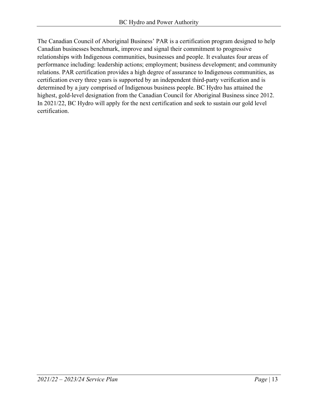The Canadian Council of Aboriginal Business' PAR is a certification program designed to help Canadian businesses benchmark, improve and signal their commitment to progressive relationships with Indigenous communities, businesses and people. It evaluates four areas of performance including: leadership actions; employment; business development; and community relations. PAR certification provides a high degree of assurance to Indigenous communities, as certification every three years is supported by an independent third-party verification and is determined by a jury comprised of Indigenous business people. BC Hydro has attained the highest, gold-level designation from the Canadian Council for Aboriginal Business since 2012. In 2021/22, BC Hydro will apply for the next certification and seek to sustain our gold level certification.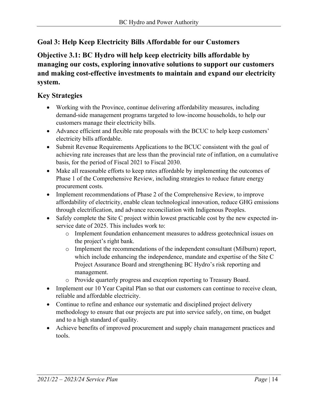# **Goal 3: Help Keep Electricity Bills Affordable for our Customers**

**Objective 3.1: BC Hydro will help keep electricity bills affordable by managing our costs, exploring innovative solutions to support our customers and making cost-effective investments to maintain and expand our electricity system.** 

#### **Key Strategies**

- Working with the Province, continue delivering affordability measures, including demand-side management programs targeted to low-income households, to help our customers manage their electricity bills.
- Advance efficient and flexible rate proposals with the BCUC to help keep customers' electricity bills affordable.
- Submit Revenue Requirements Applications to the BCUC consistent with the goal of achieving rate increases that are less than the provincial rate of inflation, on a cumulative basis, for the period of Fiscal 2021 to Fiscal 2030.
- Make all reasonable efforts to keep rates affordable by implementing the outcomes of Phase 1 of the Comprehensive Review, including strategies to reduce future energy procurement costs.
- Implement recommendations of Phase 2 of the Comprehensive Review, to improve affordability of electricity, enable clean technological innovation, reduce GHG emissions through electrification, and advance reconciliation with Indigenous Peoples.
- Safely complete the Site C project within lowest practicable cost by the new expected inservice date of 2025. This includes work to:
	- o Implement foundation enhancement measures to address geotechnical issues on the project's right bank.
	- o Implement the recommendations of the independent consultant (Milburn) report, which include enhancing the independence, mandate and expertise of the Site C Project Assurance Board and strengthening BC Hydro's risk reporting and management.
	- o Provide quarterly progress and exception reporting to Treasury Board.
- Implement our 10 Year Capital Plan so that our customers can continue to receive clean, reliable and affordable electricity.
- Continue to refine and enhance our systematic and disciplined project delivery methodology to ensure that our projects are put into service safely, on time, on budget and to a high standard of quality.
- Achieve benefits of improved procurement and supply chain management practices and tools.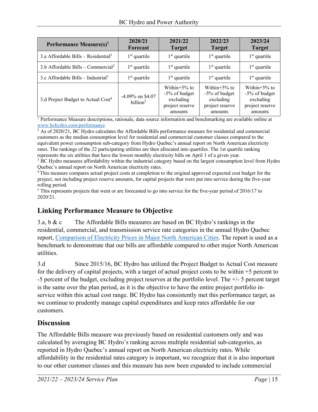| Performance Measure $(s)^1$                     | 2020/21<br>Forecast                      | 2021/22<br><b>Target</b>                                                     | 2022/23<br><b>Target</b>                                                        | 2023/24<br><b>Target</b>                                                        |
|-------------------------------------------------|------------------------------------------|------------------------------------------------------------------------------|---------------------------------------------------------------------------------|---------------------------------------------------------------------------------|
| 3.a Affordable Bills – Residential <sup>2</sup> | $1st$ quartile                           | $1st$ quartile                                                               | $1st$ quartile                                                                  | $1st$ quartile                                                                  |
| 3.b Affordable Bills – Commercial <sup>2</sup>  | $1st$ quartile                           | $1st$ quartile                                                               | $1st$ quartile                                                                  | $1st$ quartile                                                                  |
| 3.c Affordable Bills – Industrial <sup>3</sup>  | $1st$ quartile                           | $1st$ quartile                                                               | $1st$ quartile                                                                  | $1st$ quartile                                                                  |
| 3.d Project Budget to Actual Cost <sup>4</sup>  | -4.09% on \$4.07<br>billion <sup>5</sup> | Within $+5\%$ to<br>-5% of budget<br>excluding<br>project reserve<br>amounts | Within $+5\%$ to<br>$-5\%$ of budget<br>excluding<br>project reserve<br>amounts | Within $+5\%$ to<br>$-5\%$ of budget<br>excluding<br>project reserve<br>amounts |

<sup>1</sup> Performance Measure descriptions, rationale, data source information and benchmarking are available online at [www.bchydro.com/performance](http://www.bchydro.com/performance)

<sup>2</sup> As of 2020/21, BC Hydro calculates the Affordable Bills performance measure for residential and commercial customers as the median consumption level for residential and commercial customer classes compared to the equivalent power consumption sub-category from Hydro Quebec's annual report on North American electricity rates. The rankings of the 22 participating utilities are then allocated into quartiles. The 1st quartile ranking represents the six utilities that have the lowest monthly electricity bills on April 1 of a given year.

<sup>3</sup> BC Hydro measures affordability within the industrial category based on the largest consumption level from Hydro Quebec's annual report on North American electricity rates.<br><sup>4</sup> This measure compares actual project costs at completion to the original approved expected cost budget for the

project, not including project reserve amounts, for capital projects that were put into service during the five-year rolling period.

<sup>5</sup> This represents projects that went or are forecasted to go into service for the five-year period of 2016/17 to 2020/21.

# **Linking Performance Measure to Objective**

3.a, b & c The Affordable Bills measures are based on BC Hydro's rankings in the residential, commercial, and transmission service rate categories in the annual Hydro Quebec report, [Comparison of Electricity Prices in Major North American Cities.](https://www.hydroquebec.com/data/documents-donnees/pdf/comparison-electricity-prices.pdf) The report is used as a benchmark to demonstrate that our bills are affordable compared to other major North American utilities.

3.d Since 2015/16, BC Hydro has utilized the Project Budget to Actual Cost measure for the delivery of capital projects, with a target of actual project costs to be within +5 percent to -5 percent of the budget, excluding project reserves at the portfolio level. The +/- 5 percent target is the same over the plan period, as it is the objective to have the entire project portfolio inservice within this actual cost range. BC Hydro has consistently met this performance target, as we continue to prudently manage capital expenditures and keep rates affordable for our customers.

# **Discussion**

The Affordable Bills measure was previously based on residential customers only and was calculated by averaging BC Hydro's ranking across multiple residential sub-categories, as reported in Hydro Quebec's annual report on North American electricity rates. While affordability in the residential rates category is important, we recognize that it is also important to our other customer classes and this measure has now been expanded to include commercial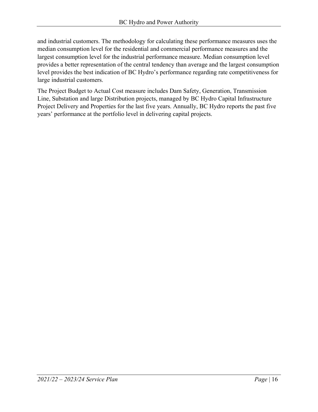and industrial customers. The methodology for calculating these performance measures uses the median consumption level for the residential and commercial performance measures and the largest consumption level for the industrial performance measure. Median consumption level provides a better representation of the central tendency than average and the largest consumption level provides the best indication of BC Hydro's performance regarding rate competitiveness for large industrial customers.

The Project Budget to Actual Cost measure includes Dam Safety, Generation, Transmission Line, Substation and large Distribution projects, managed by BC Hydro Capital Infrastructure Project Delivery and Properties for the last five years. Annually, BC Hydro reports the past five years' performance at the portfolio level in delivering capital projects.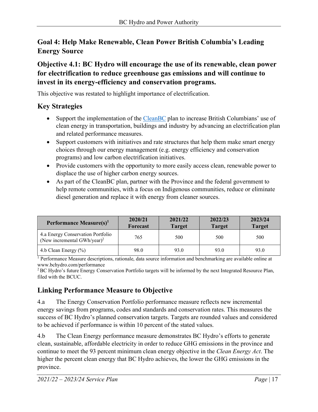# **Goal 4: Help Make Renewable, Clean Power British Columbia's Leading Energy Source**

#### **Objective 4.1: BC Hydro will encourage the use of its renewable, clean power for electrification to reduce greenhouse gas emissions and will continue to invest in its energy-efficiency and conservation programs.**

This objective was restated to highlight importance of electrification.

#### **Key Strategies**

- Support the implementation of the [CleanBC](https://cleanbc.gov.bc.ca/) plan to increase British Columbians' use of clean energy in transportation, buildings and industry by advancing an electrification plan and related performance measures.
- Support customers with initiatives and rate structures that help them make smart energy choices through our energy management (e.g. energy efficiency and conservation programs) and low carbon electrification initiatives.
- Provide customers with the opportunity to more easily access clean, renewable power to displace the use of higher carbon energy sources.
- As part of the CleanBC plan, partner with the Province and the federal government to help remote communities, with a focus on Indigenous communities, reduce or eliminate diesel generation and replace it with energy from cleaner sources.

| Performance Measure $(s)^1$                                                  | 2020/21<br><b>Forecast</b> | 2021/22<br><b>Target</b> | 2022/23<br><b>Target</b> | 2023/24<br><b>Target</b> |
|------------------------------------------------------------------------------|----------------------------|--------------------------|--------------------------|--------------------------|
| 4.a Energy Conservation Portfolio<br>(New incremental GWh/year) <sup>2</sup> | 765                        | 500                      | 500                      | 500                      |
| 4.b Clean Energy $(\% )$                                                     | 98.0                       | 93.0                     | 93.0                     | 93.0                     |

<sup>1</sup> Performance Measure descriptions, rationale, data source information and benchmarking are available online at [www.bchydro.com/performance](http://www.bchydro.com/performance) 

<sup>2</sup> BC Hydro's future Energy Conservation Portfolio targets will be informed by the next Integrated Resource Plan, filed with the BCUC.

# **Linking Performance Measure to Objective**

4.a The Energy Conservation Portfolio performance measure reflects new incremental energy savings from programs, codes and standards and conservation rates. This measures the success of BC Hydro's planned conservation targets. Targets are rounded values and considered to be achieved if performance is within 10 percent of the stated values.

4.b The Clean Energy performance measure demonstrates BC Hydro's efforts to generate clean, sustainable, affordable electricity in order to reduce GHG emissions in the province and continue to meet the 93 percent minimum clean energy objective in the *Clean Energy Act*. The higher the percent clean energy that BC Hydro achieves, the lower the GHG emissions in the province.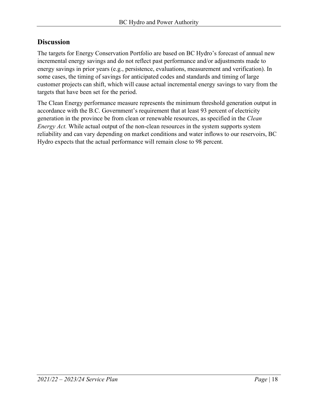#### **Discussion**

The targets for Energy Conservation Portfolio are based on BC Hydro's forecast of annual new incremental energy savings and do not reflect past performance and/or adjustments made to energy savings in prior years (e.g., persistence, evaluations, measurement and verification). In some cases, the timing of savings for anticipated codes and standards and timing of large customer projects can shift, which will cause actual incremental energy savings to vary from the targets that have been set for the period.

The Clean Energy performance measure represents the minimum threshold generation output in accordance with the B.C. Government's requirement that at least 93 percent of electricity generation in the province be from clean or renewable resources, as specified in the *Clean Energy Act.* While actual output of the non-clean resources in the system supports system reliability and can vary depending on market conditions and water inflows to our reservoirs, BC Hydro expects that the actual performance will remain close to 98 percent.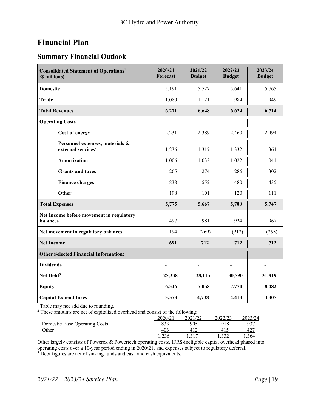# <span id="page-18-0"></span>**Financial Plan**

#### **Summary Financial Outlook**

| <b>Consolidated Statement of Operations<sup>1</sup></b><br>(\$ millions) | 2020/21<br>Forecast      | 2021/22<br><b>Budget</b> | 2022/23<br><b>Budget</b> | 2023/24<br><b>Budget</b> |
|--------------------------------------------------------------------------|--------------------------|--------------------------|--------------------------|--------------------------|
| <b>Domestic</b>                                                          | 5,191                    | 5,527                    | 5,641                    | 5,765                    |
| <b>Trade</b>                                                             | 1,080                    | 1,121                    | 984                      | 949                      |
| <b>Total Revenues</b>                                                    | 6,271                    | 6,648                    | 6,624                    | 6,714                    |
| <b>Operating Costs</b>                                                   |                          |                          |                          |                          |
| Cost of energy                                                           | 2,231                    | 2,389                    | 2,460                    | 2,494                    |
| Personnel expenses, materials &<br>external services <sup>2</sup>        | 1,236                    | 1,317                    | 1,332                    | 1,364                    |
| Amortization                                                             | 1,006                    | 1,033                    | 1,022                    | 1,041                    |
| <b>Grants and taxes</b>                                                  | 265                      | 274                      | 286                      | 302                      |
| <b>Finance charges</b>                                                   | 838                      | 552                      | 480                      | 435                      |
| Other                                                                    | 198                      | 101                      | 120                      | 111                      |
| <b>Total Expenses</b>                                                    | 5,775                    | 5,667                    | 5,700                    | 5,747                    |
| Net Income before movement in regulatory<br>balances                     | 497                      | 981                      | 924                      | 967                      |
| Net movement in regulatory balances                                      | 194                      | (269)                    | (212)                    | (255)                    |
| <b>Net Income</b>                                                        | 691                      | 712                      | 712                      | 712                      |
| <b>Other Selected Financial Information:</b>                             |                          |                          |                          |                          |
| <b>Dividends</b>                                                         | $\overline{\phantom{0}}$ | $\overline{\phantom{a}}$ |                          |                          |
| Net Debt <sup>3</sup>                                                    | 25,338                   | 28,115                   | 30,590                   | 31,819                   |
| <b>Equity</b>                                                            | 6,346                    | 7,058                    | 7,770                    | 8,482                    |
| <b>Capital Expenditures</b>                                              | 3,573                    | 4,738                    | 4,413                    | 3,305                    |

<sup>1</sup> Table may not add due to rounding.

 $2$  These amounts are net of capitalized overhead and consist of the following:

|                               | 2020/21 | 2021/22 | 2022/23 | 2023/24 |
|-------------------------------|---------|---------|---------|---------|
| Domestic Base Operating Costs |         | 905     | 918     | 937     |
| Other                         | 403     | 411     |         | 427     |
|                               | 1.236   |         |         | .364    |

Other largely consists of Powerex & Powertech operating costs, IFRS-ineligible capital overhead phased into operating costs over a 10-year period ending in 2020/21, and expenses subject to regulatory deferral. <sup>3</sup> Debt figures are net of sinking funds and cash and cash equivalents.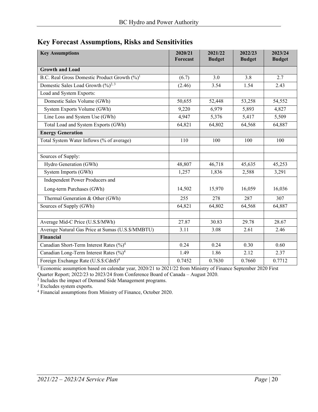<span id="page-19-0"></span>

| <b>Key Forecast Assumptions, Risks and Sensitivities</b> |  |
|----------------------------------------------------------|--|
|----------------------------------------------------------|--|

| <b>Key Assumptions</b>                                   | 2020/21<br>Forecast | 2021/22<br><b>Budget</b> | 2022/23<br><b>Budget</b> | 2023/24<br><b>Budget</b> |
|----------------------------------------------------------|---------------------|--------------------------|--------------------------|--------------------------|
| <b>Growth and Load</b>                                   |                     |                          |                          |                          |
| B.C. Real Gross Domestic Product Growth (%) <sup>1</sup> | (6.7)               | 3.0                      | 3.8                      | 2.7                      |
| Domestic Sales Load Growth $(\frac{9}{6})^{2,3}$         | (2.46)              | 3.54                     | 1.54                     | 2.43                     |
| Load and System Exports:                                 |                     |                          |                          |                          |
| Domestic Sales Volume (GWh)                              | 50,655              | 52,448                   | 53,258                   | 54,552                   |
| System Exports Volume (GWh)                              | 9,220               | 6,979                    | 5,893                    | 4,827                    |
| Line Loss and System Use (GWh)                           | 4,947               | 5,376                    | 5,417                    | 5,509                    |
| Total Load and System Exports (GWh)                      | 64,821              | 64,802                   | 64,568                   | 64,887                   |
| <b>Energy Generation</b>                                 |                     |                          |                          |                          |
| Total System Water Inflows (% of average)                | 110                 | 100                      | 100                      | 100                      |
|                                                          |                     |                          |                          |                          |
| Sources of Supply:                                       |                     |                          |                          |                          |
| Hydro Generation (GWh)                                   | 48,807              | 46,718                   | 45,635                   | 45,253                   |
| System Imports (GWh)                                     | 1,257               | 1,836                    | 2,588                    | 3,291                    |
| Independent Power Producers and                          |                     |                          |                          |                          |
| Long-term Purchases (GWh)                                | 14,502              | 15,970                   | 16,059                   | 16,036                   |
| Thermal Generation & Other (GWh)                         | 255                 | 278                      | 287                      | 307                      |
| Sources of Supply (GWh)                                  | 64,821              | 64,802                   | 64,568                   | 64,887                   |
|                                                          |                     |                          |                          |                          |
| Average Mid-C Price (U.S.\$/MWh)                         | 27.87               | 30.83                    | 29.78                    | 28.67                    |
| Average Natural Gas Price at Sumas (U.S. \$/MMBTU)       | 3.11                | 3.08                     | 2.61                     | 2.46                     |
| Financial                                                |                     |                          |                          |                          |
| Canadian Short-Term Interest Rates (%) <sup>4</sup>      | 0.24                | 0.24                     | 0.30                     | 0.60                     |
| Canadian Long-Term Interest Rates (%) <sup>4</sup>       | 1.49                | 1.86                     | 2.12                     | 2.37                     |
| Foreign Exchange Rate (U.S.\$:Cdn\$) <sup>4</sup>        | 0.7452              | 0.7630                   | 0.7660                   | 0.7712                   |

<sup>1</sup> Economic assumption based on calendar year, 2020/21 to 2021/22 from Ministry of Finance September 2020 First Quarter Report; 2022/23 to 2023/24 from Conference Board of Canada – August 2020.

<sup>2</sup> Includes the impact of Demand Side Management programs.

<sup>3</sup> Excludes system exports.

<sup>4</sup> Financial assumptions from Ministry of Finance, October 2020.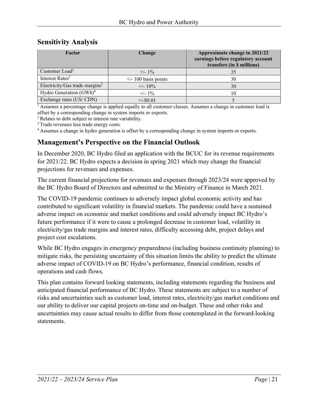#### <span id="page-20-0"></span>**Sensitivity Analysis**

| Factor                                     | Change                 | Approximate change in 2021/22<br>earnings before regulatory account<br>transfers (in \$ millions) |
|--------------------------------------------|------------------------|---------------------------------------------------------------------------------------------------|
| Customer Load <sup>1</sup>                 | $+/- 1\%$              | 35                                                                                                |
| Interest Rates <sup>2</sup>                | $+/- 100$ basis points | 30                                                                                                |
| Electricity/Gas trade margins <sup>3</sup> | $+/- 10\%$             | 30                                                                                                |
| Hydro Generation (GWh) <sup>4</sup>        | $+/- 1\%$              | 10                                                                                                |
| Exchange rates (US/CDN)                    | $+/-$ \$0.01           |                                                                                                   |

<sup>1</sup> Assumes a percentage change is applied equally to all customer classes. Assumes a change in customer load is offset by a corresponding change in system imports or exports.

<sup>2</sup> Relates to debt subject to interest rate variability.

<sup>3</sup> Trade revenues less trade energy costs.

<sup>4</sup> Assumes a change in hydro generation is offset by a corresponding change in system imports or exports.

#### <span id="page-20-1"></span>**Management's Perspective on the Financial Outlook**

In December 2020, BC Hydro filed an application with the BCUC for its revenue requirements for 2021/22. BC Hydro expects a decision in spring 2021 which may change the financial projections for revenues and expenses.

The current financial projections for revenues and expenses through 2023/24 were approved by the BC Hydro Board of Directors and submitted to the Ministry of Finance in March 2021.

The COVID-19 pandemic continues to adversely impact global economic activity and has contributed to significant volatility in financial markets. The pandemic could have a sustained adverse impact on economic and market conditions and could adversely impact BC Hydro's future performance if it were to cause a prolonged decrease in customer load, volatility in electricity/gas trade margins and interest rates, difficulty accessing debt, project delays and project cost escalations.

While BC Hydro engages in emergency preparedness (including business continuity planning) to mitigate risks, the persisting uncertainty of this situation limits the ability to predict the ultimate adverse impact of COVID-19 on BC Hydro's performance, financial condition, results of operations and cash flows.

This plan contains forward looking statements, including statements regarding the business and anticipated financial performance of BC Hydro. These statements are subject to a number of risks and uncertainties such as customer load, interest rates, electricity/gas market conditions and our ability to deliver our capital projects on-time and on-budget. These and other risks and uncertainties may cause actual results to differ from those contemplated in the forward-looking statements.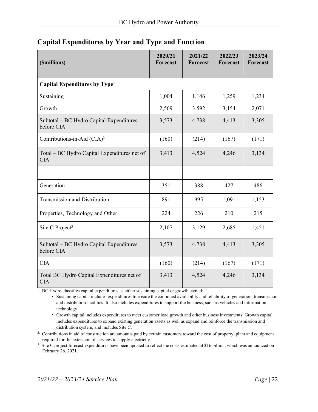| (\$millions)                                               | 2020/21<br>Forecast | 2021/22<br>Forecast | 2022/23<br>Forecast | 2023/24<br><b>Forecast</b> |  |  |  |
|------------------------------------------------------------|---------------------|---------------------|---------------------|----------------------------|--|--|--|
| Capital Expenditures by Type <sup>1</sup>                  |                     |                     |                     |                            |  |  |  |
| Sustaining                                                 | 1,004               | 1,146               | 1,259               | 1,234                      |  |  |  |
| Growth                                                     | 2,569               | 3,592               | 3,154               | 2,071                      |  |  |  |
| Subtotal – BC Hydro Capital Expenditures<br>before CIA     | 3,573               | 4,738               | 4,413               | 3,305                      |  |  |  |
| Contributions-in-Aid (CIA) <sup>2</sup>                    | (160)               | (214)               | (167)               | (171)                      |  |  |  |
| Total – BC Hydro Capital Expenditures net of<br><b>CIA</b> | 3,413               | 4,524               | 4,246               | 3,134                      |  |  |  |
|                                                            |                     |                     |                     |                            |  |  |  |
| Generation                                                 | 351                 | 388                 | 427                 | 486                        |  |  |  |
| <b>Transmission and Distribution</b>                       | 891                 | 995                 | 1,091               | 1,153                      |  |  |  |
| Properties, Technology and Other                           | 224                 | 226                 | 210                 | 215                        |  |  |  |
| Site C Project <sup>3</sup>                                | 2,107               | 3,129               | 2,685               | 1,451                      |  |  |  |
| Subtotal - BC Hydro Capital Expenditures<br>before CIA     | 3,573               | 4,738               | 4,413               | 3,305                      |  |  |  |
| <b>CIA</b>                                                 | (160)               | (214)               | (167)               | (171)                      |  |  |  |
| Total BC Hydro Capital Expenditures net of<br><b>CIA</b>   | 3,413               | 4,524               | 4,246               | 3,134                      |  |  |  |

#### <span id="page-21-0"></span>**Capital Expenditures by Year and Type and Function**

<sup>1.</sup> BC Hydro classifies capital expenditures as either sustaining capital or growth capital:

• Sustaining capital includes expenditures to ensure the continued availability and reliability of generation, transmission and distribution facilities. It also includes expenditures to support the business, such as vehicles and information technology.

• Growth capital includes expenditures to meet customer load growth and other business investments. Growth capital includes expenditures to expand existing generation assets as well as expand and reinforce the transmission and distribution system, and includes Site C.

<sup>2.</sup> Contributions in aid of construction are amounts paid by certain customers toward the cost of property, plant and equipment required for the extension of services to supply electricity.

<sup>3.</sup> Site C project forecast expenditures have been updated to reflect the costs estimated at \$16 billion, which was announced on February 26, 2021.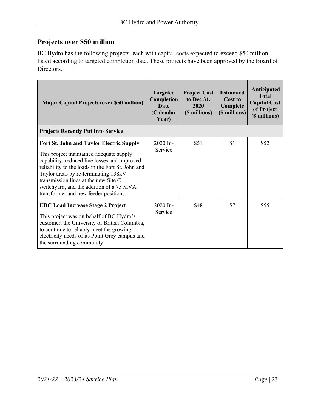# **Projects over \$50 million**

BC Hydro has the following projects, each with capital costs expected to exceed \$50 million, listed according to targeted completion date. These projects have been approved by the Board of Directors.

| <b>Major Capital Projects (over \$50 million)</b>                                                                                                                                                                                                                                                                                                                    | <b>Targeted</b><br>Completion<br>Date<br>(Calendar<br>Year) | <b>Project Cost</b><br>to Dec 31,<br>2020<br>(\$ millions) | <b>Estimated</b><br>Cost to<br>Complete<br>(\$ millions) | Anticipated<br><b>Total</b><br><b>Capital Cost</b><br>of Project<br>(\$ millions) |
|----------------------------------------------------------------------------------------------------------------------------------------------------------------------------------------------------------------------------------------------------------------------------------------------------------------------------------------------------------------------|-------------------------------------------------------------|------------------------------------------------------------|----------------------------------------------------------|-----------------------------------------------------------------------------------|
| <b>Projects Recently Put Into Service</b>                                                                                                                                                                                                                                                                                                                            |                                                             |                                                            |                                                          |                                                                                   |
| <b>Fort St. John and Taylor Electric Supply</b><br>This project maintained adequate supply<br>capability, reduced line losses and improved<br>reliability to the loads in the Fort St. John and<br>Taylor areas by re-terminating 138kV<br>transmission lines at the new Site C<br>switchyard, and the addition of a 75 MVA<br>transformer and new feeder positions. | 2020 In-<br>Service                                         | \$51                                                       | \$1                                                      | \$52                                                                              |
| <b>UBC Load Increase Stage 2 Project</b><br>This project was on behalf of BC Hydro's<br>customer, the University of British Columbia,<br>to continue to reliably meet the growing<br>electricity needs of its Point Grey campus and<br>the surrounding community.                                                                                                    | 2020 In-<br>Service                                         | \$48                                                       | \$7                                                      | \$55                                                                              |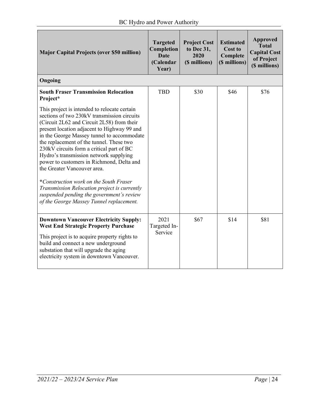| <b>Major Capital Projects (over \$50 million)</b>                                                                                                                                                                                                                                                                                                                                                                                                                                                                                                                                                                                                                                                   | <b>Targeted</b><br>Completion<br><b>Date</b><br>(Calendar<br>Year) | <b>Project Cost</b><br>to Dec 31,<br>2020<br>(\$ millions) | <b>Estimated</b><br><b>Cost to</b><br>Complete<br>(\$ millions) | <b>Approved</b><br><b>Total</b><br><b>Capital Cost</b><br>of Project<br>(\$ millions) |
|-----------------------------------------------------------------------------------------------------------------------------------------------------------------------------------------------------------------------------------------------------------------------------------------------------------------------------------------------------------------------------------------------------------------------------------------------------------------------------------------------------------------------------------------------------------------------------------------------------------------------------------------------------------------------------------------------------|--------------------------------------------------------------------|------------------------------------------------------------|-----------------------------------------------------------------|---------------------------------------------------------------------------------------|
| Ongoing                                                                                                                                                                                                                                                                                                                                                                                                                                                                                                                                                                                                                                                                                             |                                                                    |                                                            |                                                                 |                                                                                       |
| <b>South Fraser Transmission Relocation</b><br>Project*<br>This project is intended to relocate certain<br>sections of two 230kV transmission circuits<br>(Circuit 2L62 and Circuit 2L58) from their<br>present location adjacent to Highway 99 and<br>in the George Massey tunnel to accommodate<br>the replacement of the tunnel. These two<br>230kV circuits form a critical part of BC<br>Hydro's transmission network supplying<br>power to customers in Richmond, Delta and<br>the Greater Vancouver area.<br>*Construction work on the South Fraser<br>Transmission Relocation project is currently<br>suspended pending the government's review<br>of the George Massey Tunnel replacement. | <b>TBD</b>                                                         | \$30                                                       | \$46                                                            | \$76                                                                                  |
| <b>Downtown Vancouver Electricity Supply:</b><br><b>West End Strategic Property Purchase</b><br>This project is to acquire property rights to<br>build and connect a new underground<br>substation that will upgrade the aging<br>electricity system in downtown Vancouver.                                                                                                                                                                                                                                                                                                                                                                                                                         | 2021<br>Targeted In-<br>Service                                    | \$67                                                       | \$14                                                            | \$81                                                                                  |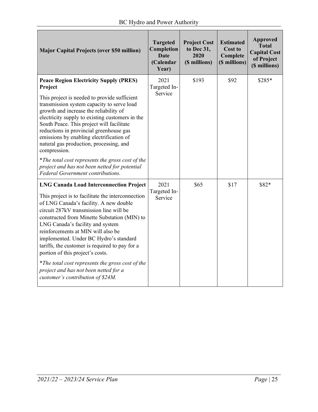| <b>Major Capital Projects (over \$50 million)</b>                                                                                                                                                                                                                                                                                                                                                                                                                                                                                                                                    | <b>Targeted</b><br>Completion<br><b>Date</b><br>(Calendar<br>Year) | <b>Project Cost</b><br>to Dec 31,<br>2020<br>(\$ millions) | <b>Estimated</b><br><b>Cost to</b><br>Complete<br>(\$ millions) | <b>Approved</b><br><b>Total</b><br><b>Capital Cost</b><br>of Project<br>(\$ millions) |
|--------------------------------------------------------------------------------------------------------------------------------------------------------------------------------------------------------------------------------------------------------------------------------------------------------------------------------------------------------------------------------------------------------------------------------------------------------------------------------------------------------------------------------------------------------------------------------------|--------------------------------------------------------------------|------------------------------------------------------------|-----------------------------------------------------------------|---------------------------------------------------------------------------------------|
| <b>Peace Region Electricity Supply (PRES)</b><br>Project<br>This project is needed to provide sufficient<br>transmission system capacity to serve load<br>growth and increase the reliability of<br>electricity supply to existing customers in the<br>South Peace. This project will facilitate<br>reductions in provincial greenhouse gas<br>emissions by enabling electrification of<br>natural gas production, processing, and<br>compression.                                                                                                                                   | 2021<br>Targeted In-<br>Service                                    | \$193                                                      | \$92                                                            | \$285*                                                                                |
| *The total cost represents the gross cost of the<br>project and has not been netted for potential<br>Federal Government contributions.                                                                                                                                                                                                                                                                                                                                                                                                                                               |                                                                    |                                                            |                                                                 |                                                                                       |
| <b>LNG Canada Load Interconnection Project</b><br>This project is to facilitate the interconnection<br>of LNG Canada's facility. A new double<br>circuit 287kV transmission line will be<br>constructed from Minette Substation (MIN) to<br>LNG Canada's facility and system<br>reinforcements at MIN will also be<br>implemented. Under BC Hydro's standard<br>tariffs, the customer is required to pay for a<br>portion of this project's costs.<br>*The total cost represents the gross cost of the<br>project and has not been netted for a<br>customer's contribution of \$24M. | 2021<br>Targeted In-<br>Service                                    | \$65                                                       | \$17                                                            | \$82*                                                                                 |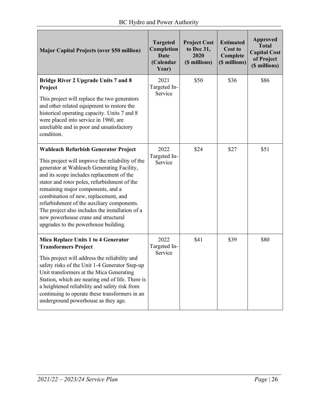| <b>Major Capital Projects (over \$50 million)</b>                                                                                                                                                                                                                                                                                                                                                                                                                                                       | <b>Targeted</b><br>Completion<br><b>Date</b><br>(Calendar<br>Year) | <b>Project Cost</b><br>to Dec 31,<br>2020<br>(\$ millions) | <b>Estimated</b><br><b>Cost to</b><br>Complete<br>(\$ millions) | <b>Approved</b><br><b>Total</b><br><b>Capital Cost</b><br>of Project<br>(\$ millions) |
|---------------------------------------------------------------------------------------------------------------------------------------------------------------------------------------------------------------------------------------------------------------------------------------------------------------------------------------------------------------------------------------------------------------------------------------------------------------------------------------------------------|--------------------------------------------------------------------|------------------------------------------------------------|-----------------------------------------------------------------|---------------------------------------------------------------------------------------|
| <b>Bridge River 2 Upgrade Units 7 and 8</b><br>Project<br>This project will replace the two generators<br>and other related equipment to restore the<br>historical operating capacity. Units 7 and 8<br>were placed into service in 1960, are<br>unreliable and in poor and unsatisfactory<br>condition.                                                                                                                                                                                                | 2021<br>Targeted In-<br>Service                                    | \$50                                                       | \$36                                                            | \$86                                                                                  |
| <b>Wahleach Refurbish Generator Project</b><br>This project will improve the reliability of the<br>generator at Wahleach Generating Facility,<br>and its scope includes replacement of the<br>stator and rotor poles, refurbishment of the<br>remaining major components, and a<br>combination of new, replacement, and<br>refurbishment of the auxiliary components.<br>The project also includes the installation of a<br>new powerhouse crane and structural<br>upgrades to the powerhouse building. | 2022<br>Targeted In-<br>Service                                    | \$24                                                       | \$27                                                            | \$51                                                                                  |
| Mica Replace Units 1 to 4 Generator<br><b>Transformers Project</b><br>This project will address the reliability and<br>safety risks of the Unit 1-4 Generator Step-up<br>Unit transformers at the Mica Generating<br>Station, which are nearing end of life. There is<br>a heightened reliability and safety risk from<br>continuing to operate these transformers in an<br>underground powerhouse as they age.                                                                                         | 2022<br>Targeted In-<br>Service                                    | \$41                                                       | \$39                                                            | \$80                                                                                  |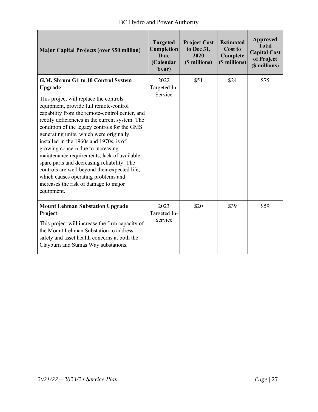| <b>Major Capital Projects (over \$50 million)</b>                                                                                                                                                                                                                                                                                                                                                                                                                                                                                                                                                                                                              | <b>Targeted</b><br>Completion<br><b>Date</b><br>(Calendar<br>Year) | <b>Project Cost</b><br>to Dec 31,<br>2020<br>(\$ millions) | <b>Estimated</b><br>Cost to<br>Complete<br>(\$ millions) | Approved<br><b>Total</b><br><b>Capital Cost</b><br>of Project<br>(\$ millions) |
|----------------------------------------------------------------------------------------------------------------------------------------------------------------------------------------------------------------------------------------------------------------------------------------------------------------------------------------------------------------------------------------------------------------------------------------------------------------------------------------------------------------------------------------------------------------------------------------------------------------------------------------------------------------|--------------------------------------------------------------------|------------------------------------------------------------|----------------------------------------------------------|--------------------------------------------------------------------------------|
| G.M. Shrum G1 to 10 Control System<br>Upgrade<br>This project will replace the controls<br>equipment, provide full remote-control<br>capability from the remote-control center, and<br>rectify deficiencies in the current system. The<br>condition of the legacy controls for the GMS<br>generating units, which were originally<br>installed in the 1960s and 1970s, is of<br>growing concern due to increasing<br>maintenance requirements, lack of available<br>spare parts and decreasing reliability. The<br>controls are well beyond their expected life,<br>which causes operating problems and<br>increases the risk of damage to major<br>equipment. | 2022<br>Targeted In-<br>Service                                    | \$51                                                       | \$24                                                     | \$75                                                                           |
| <b>Mount Lehman Substation Upgrade</b><br>Project<br>This project will increase the firm capacity of<br>the Mount Lehman Substation to address<br>safety and asset health concerns at both the<br>Clayburn and Sumas Way substations.                                                                                                                                                                                                                                                                                                                                                                                                                          | 2023<br>Targeted In-<br>Service                                    | \$20                                                       | \$39                                                     | \$59                                                                           |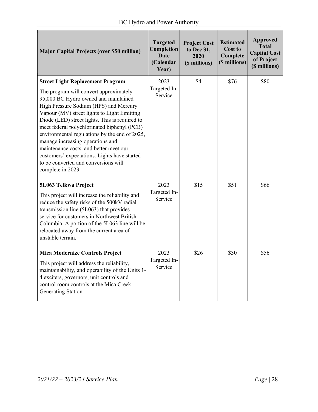| <b>Major Capital Projects (over \$50 million)</b>                                                                                                                                                                                                                                                                                                                                                                                                                                                                                                               | <b>Targeted</b><br>Completion<br><b>Date</b><br>(Calendar<br>Year) | <b>Project Cost</b><br>to Dec 31,<br>2020<br>(\$ millions) | <b>Estimated</b><br><b>Cost to</b><br>Complete<br>(\$ millions) | <b>Approved</b><br><b>Total</b><br><b>Capital Cost</b><br>of Project<br>(\$ millions) |
|-----------------------------------------------------------------------------------------------------------------------------------------------------------------------------------------------------------------------------------------------------------------------------------------------------------------------------------------------------------------------------------------------------------------------------------------------------------------------------------------------------------------------------------------------------------------|--------------------------------------------------------------------|------------------------------------------------------------|-----------------------------------------------------------------|---------------------------------------------------------------------------------------|
| <b>Street Light Replacement Program</b><br>The program will convert approximately<br>95,000 BC Hydro owned and maintained<br>High Pressure Sodium (HPS) and Mercury<br>Vapour (MV) street lights to Light Emitting<br>Diode (LED) street lights. This is required to<br>meet federal polychlorinated biphenyl (PCB)<br>environmental regulations by the end of 2025,<br>manage increasing operations and<br>maintenance costs, and better meet our<br>customers' expectations. Lights have started<br>to be converted and conversions will<br>complete in 2023. | 2023<br>Targeted In-<br>Service                                    | \$4                                                        | \$76                                                            | \$80                                                                                  |
| 5L063 Telkwa Project<br>This project will increase the reliability and<br>reduce the safety risks of the 500kV radial<br>transmission line (5L063) that provides<br>service for customers in Northwest British<br>Columbia. A portion of the 5L063 line will be<br>relocated away from the current area of<br>unstable terrain.                                                                                                                                                                                                                                 | 2023<br>Targeted In-<br>Service                                    | \$15                                                       | \$51                                                            | \$66                                                                                  |
| <b>Mica Modernize Controls Project</b><br>This project will address the reliability,<br>maintainability, and operability of the Units 1-<br>4 exciters, governors, unit controls and<br>control room controls at the Mica Creek<br>Generating Station.                                                                                                                                                                                                                                                                                                          | 2023<br>Targeted In-<br>Service                                    | \$26                                                       | \$30                                                            | \$56                                                                                  |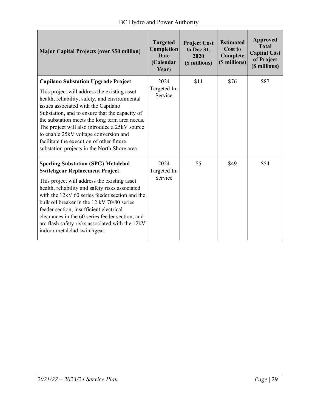| <b>Major Capital Projects (over \$50 million)</b>                                                  | <b>Targeted</b><br>Completion<br>Date<br>(Calendar<br>Year) | <b>Project Cost</b><br>to Dec 31,<br>2020<br>(\$ millions) | <b>Estimated</b><br>Cost to<br>Complete<br>(\$ millions) | <b>Approved</b><br><b>Total</b><br><b>Capital Cost</b><br>of Project<br>(\$ millions) |
|----------------------------------------------------------------------------------------------------|-------------------------------------------------------------|------------------------------------------------------------|----------------------------------------------------------|---------------------------------------------------------------------------------------|
| <b>Capilano Substation Upgrade Project</b><br>This project will address the existing asset         | 2024<br>Targeted In-                                        | \$11                                                       | \$76                                                     | \$87                                                                                  |
| health, reliability, safety, and environmental<br>issues associated with the Capilano              | Service                                                     |                                                            |                                                          |                                                                                       |
| Substation, and to ensure that the capacity of<br>the substation meets the long term area needs.   |                                                             |                                                            |                                                          |                                                                                       |
| The project will also introduce a 25kV source<br>to enable 25kV voltage conversion and             |                                                             |                                                            |                                                          |                                                                                       |
| facilitate the execution of other future                                                           |                                                             |                                                            |                                                          |                                                                                       |
| substation projects in the North Shore area.                                                       |                                                             |                                                            |                                                          |                                                                                       |
| <b>Sperling Substation (SPG) Metalclad</b>                                                         | 2024                                                        | \$5                                                        | \$49                                                     | \$54                                                                                  |
| <b>Switchgear Replacement Project</b>                                                              | Targeted In-<br>Service                                     |                                                            |                                                          |                                                                                       |
| This project will address the existing asset                                                       |                                                             |                                                            |                                                          |                                                                                       |
| health, reliability and safety risks associated<br>with the 12kV 60 series feeder section and the  |                                                             |                                                            |                                                          |                                                                                       |
| bulk oil breaker in the 12 kV 70/80 series                                                         |                                                             |                                                            |                                                          |                                                                                       |
| feeder section, insufficient electrical                                                            |                                                             |                                                            |                                                          |                                                                                       |
| clearances in the 60 series feeder section, and<br>arc flash safety risks associated with the 12kV |                                                             |                                                            |                                                          |                                                                                       |
| indoor metalclad switchgear.                                                                       |                                                             |                                                            |                                                          |                                                                                       |
|                                                                                                    |                                                             |                                                            |                                                          |                                                                                       |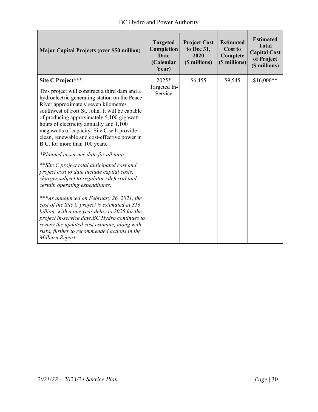| <b>Major Capital Projects (over \$50 million)</b>                                                                                                                                                                                                                                                                                                                                                                                                                                                                                                                                                                                                                                                                                                                                                                                                                                                                                                                                    | <b>Targeted</b><br>Completion<br><b>Date</b><br>(Calendar<br>Year) | <b>Project Cost</b><br>to Dec 31,<br>2020<br>(\$ millions) | <b>Estimated</b><br><b>Cost to</b><br>Complete<br>(\$ millions) | <b>Estimated</b><br><b>Total</b><br><b>Capital Cost</b><br>of Project<br>(\$ millions) |
|--------------------------------------------------------------------------------------------------------------------------------------------------------------------------------------------------------------------------------------------------------------------------------------------------------------------------------------------------------------------------------------------------------------------------------------------------------------------------------------------------------------------------------------------------------------------------------------------------------------------------------------------------------------------------------------------------------------------------------------------------------------------------------------------------------------------------------------------------------------------------------------------------------------------------------------------------------------------------------------|--------------------------------------------------------------------|------------------------------------------------------------|-----------------------------------------------------------------|----------------------------------------------------------------------------------------|
| Site C Project***<br>This project will construct a third dam and a<br>hydroelectric generating station on the Peace<br>River approximately seven kilometres<br>southwest of Fort St. John. It will be capable<br>of producing approximately 5,100 gigawatt-<br>hours of electricity annually and 1,100<br>megawatts of capacity. Site C will provide<br>clean, renewable and cost-effective power in<br>B.C. for more than 100 years.<br>*Planned in-service date for all units.<br>**Site C project total anticipated cost and<br>project cost to date include capital costs,<br>charges subject to regulatory deferral and<br>certain operating expenditures.<br>***As announced on February 26, 2021, the<br>cost of the Site C project is estimated at \$16<br>billion, with a one year delay to 2025 for the<br>project in-service date.BC Hydro continues to<br>review the updated cost estimate, along with<br>risks, further to recommended actions in the<br>Milburn Report | $2025*$<br>Targeted In-<br>Service                                 | \$6,455                                                    | \$9,545                                                         | $$16,000**$                                                                            |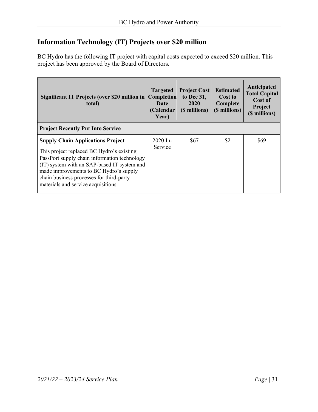# **Information Technology (IT) Projects over \$20 million**

BC Hydro has the following IT project with capital costs expected to exceed \$20 million. This project has been approved by the Board of Directors.

| Significant IT Projects (over \$20 million in<br>total)                                                                                                                                                                                                                                                           | <b>Targeted</b><br><b>Completion</b><br>Date<br>(Calendar<br>Year) | <b>Project Cost</b><br>to Dec 31,<br>2020<br>(\$ millions) | <b>Estimated</b><br>Cost to<br>Complete<br>(\$ millions) | Anticipated<br><b>Total Capital</b><br>Cost of<br>Project<br>(\$ millions) |
|-------------------------------------------------------------------------------------------------------------------------------------------------------------------------------------------------------------------------------------------------------------------------------------------------------------------|--------------------------------------------------------------------|------------------------------------------------------------|----------------------------------------------------------|----------------------------------------------------------------------------|
| <b>Project Recently Put Into Service</b>                                                                                                                                                                                                                                                                          |                                                                    |                                                            |                                                          |                                                                            |
| <b>Supply Chain Applications Project</b><br>This project replaced BC Hydro's existing<br>PassPort supply chain information technology<br>(IT) system with an SAP-based IT system and<br>made improvements to BC Hydro's supply<br>chain business processes for third-party<br>materials and service acquisitions. | $2020$ In-<br>Service                                              | \$67                                                       | \$2                                                      | \$69                                                                       |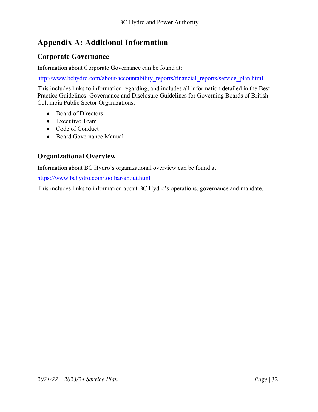# <span id="page-31-0"></span>**Appendix A: Additional Information**

# **Corporate Governance**

Information about Corporate Governance can be found at:

[http://www.bchydro.com/about/accountability\\_reports/financial\\_reports/service\\_plan.html.](http://www.bchydro.com/about/accountability_reports/financial_reports/service_plan.html)

This includes links to information regarding, and includes all information detailed in the Best Practice Guidelines: Governance and Disclosure Guidelines for Governing Boards of British Columbia Public Sector Organizations:

- Board of Directors
- Executive Team
- Code of Conduct
- Board Governance Manual

# **Organizational Overview**

Information about BC Hydro's organizational overview can be found at:

<https://www.bchydro.com/toolbar/about.html>

This includes links to information about BC Hydro's operations, governance and mandate.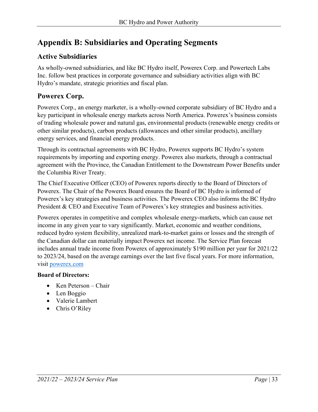# <span id="page-32-0"></span>**Appendix B: Subsidiaries and Operating Segments**

# **Active Subsidiaries**

As wholly-owned subsidiaries, and like BC Hydro itself, Powerex Corp. and Powertech Labs Inc. follow best practices in corporate governance and subsidiary activities align with BC Hydro's mandate, strategic priorities and fiscal plan.

# **Powerex Corp.**

Powerex Corp., an energy marketer, is a wholly-owned corporate subsidiary of BC Hydro and a key participant in wholesale energy markets across North America. Powerex's business consists of trading wholesale power and natural gas, environmental products (renewable energy credits or other similar products), carbon products (allowances and other similar products), ancillary energy services, and financial energy products.

Through its contractual agreements with BC Hydro, Powerex supports BC Hydro's system requirements by importing and exporting energy. Powerex also markets, through a contractual agreement with the Province, the Canadian Entitlement to the Downstream Power Benefits under the Columbia River Treaty.

The Chief Executive Officer (CEO) of Powerex reports directly to the Board of Directors of Powerex. The Chair of the Powerex Board ensures the Board of BC Hydro is informed of Powerex's key strategies and business activities. The Powerex CEO also informs the BC Hydro President & CEO and Executive Team of Powerex's key strategies and business activities.

Powerex operates in competitive and complex wholesale energy-markets, which can cause net income in any given year to vary significantly. Market, economic and weather conditions, reduced hydro system flexibility, unrealized mark-to-market gains or losses and the strength of the Canadian dollar can materially impact Powerex net income. The Service Plan forecast includes annual trade income from Powerex of approximately \$190 million per year for 2021/22 to 2023/24, based on the average earnings over the last five fiscal years. For more information, visit [powerex.com](https://powerex.com/)

#### **Board of Directors:**

- Ken Peterson Chair
- Len Boggio
- Valerie Lambert
- Chris O'Riley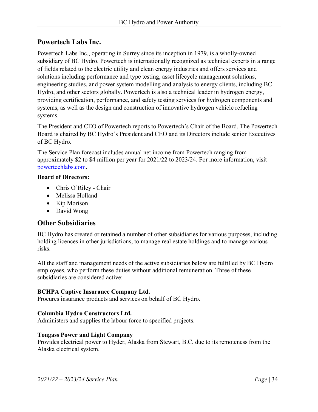#### **Powertech Labs Inc.**

Powertech Labs Inc., operating in Surrey since its inception in 1979, is a wholly-owned subsidiary of BC Hydro. Powertech is internationally recognized as technical experts in a range of fields related to the electric utility and clean energy industries and offers services and solutions including performance and type testing, asset lifecycle management solutions, engineering studies, and power system modelling and analysis to energy clients, including BC Hydro, and other sectors globally. Powertech is also a technical leader in hydrogen energy, providing certification, performance, and safety testing services for hydrogen components and systems, as well as the design and construction of innovative hydrogen vehicle refueling systems.

The President and CEO of Powertech reports to Powertech's Chair of the Board. The Powertech Board is chaired by BC Hydro's President and CEO and its Directors include senior Executives of BC Hydro.

The Service Plan forecast includes annual net income from Powertech ranging from approximately \$2 to \$4 million per year for 2021/22 to 2023/24. For more information, visit [powertechlabs.com.](https://www.powertechlabs.com/)

#### **Board of Directors:**

- Chris O'Riley Chair
- Melissa Holland
- Kip Morison
- David Wong

#### **Other Subsidiaries**

BC Hydro has created or retained a number of other subsidiaries for various purposes, including holding licences in other jurisdictions, to manage real estate holdings and to manage various risks.

All the staff and management needs of the active subsidiaries below are fulfilled by BC Hydro employees, who perform these duties without additional remuneration. Three of these subsidiaries are considered active:

#### **BCHPA Captive Insurance Company Ltd.**

Procures insurance products and services on behalf of BC Hydro.

#### **Columbia Hydro Constructors Ltd.**

Administers and supplies the labour force to specified projects.

#### **Tongass Power and Light Company**

Provides electrical power to Hyder, Alaska from Stewart, B.C. due to its remoteness from the Alaska electrical system.